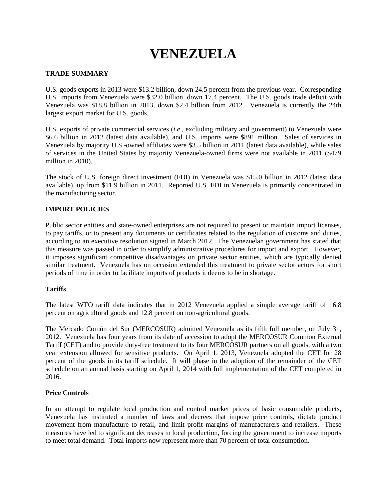# **VENEZUELA**

# **TRADE SUMMARY**

U.S. goods exports in 2013 were \$13.2 billion, down 24.5 percent from the previous year. Corresponding U.S. imports from Venezuela were \$32.0 billion, down 17.4 percent. The U.S. goods trade deficit with Venezuela was \$18.8 billion in 2013, down \$2.4 billion from 2012. Venezuela is currently the 24th largest export market for U.S. goods.

U.S. exports of private commercial services (*i.e.*, excluding military and government) to Venezuela were \$6.6 billion in 2012 (latest data available), and U.S. imports were \$891 million. Sales of services in Venezuela by majority U.S.-owned affiliates were \$3.5 billion in 2011 (latest data available), while sales of services in the United States by majority Venezuela-owned firms were not available in 2011 (\$479 million in 2010).

The stock of U.S. foreign direct investment (FDI) in Venezuela was \$15.0 billion in 2012 (latest data available), up from \$11.9 billion in 2011. Reported U.S. FDI in Venezuela is primarily concentrated in the manufacturing sector.

# **IMPORT POLICIES**

Public sector entities and state-owned enterprises are not required to present or maintain import licenses, to pay tariffs, or to present any documents or certificates related to the regulation of customs and duties, according to an executive resolution signed in March 2012. The Venezuelan government has stated that this measure was passed in order to simplify administrative procedures for import and export. However, it imposes significant competitive disadvantages on private sector entities, which are typically denied similar treatment. Venezuela has on occasion extended this treatment to private sector actors for short periods of time in order to facilitate imports of products it deems to be in shortage.

# **Tariffs**

The latest WTO tariff data indicates that in 2012 Venezuela applied a simple average tariff of 16.8 percent on agricultural goods and 12.8 percent on non-agricultural goods.

The Mercado Común del Sur (MERCOSUR) admitted Venezuela as its fifth full member, on July 31, 2012. Venezuela has four years from its date of accession to adopt the MERCOSUR Common External Tariff (CET) and to provide duty-free treatment to its four MERCOSUR partners on all goods, with a two year extension allowed for sensitive products. On April 1, 2013, Venezuela adopted the CET for 28 percent of the goods in its tariff schedule. It will phase in the adoption of the remainder of the CET schedule on an annual basis starting on April 1, 2014 with full implementation of the CET completed in 2016.

# **Price Controls**

In an attempt to regulate local production and control market prices of basic consumable products, Venezuela has instituted a number of laws and decrees that impose price controls, dictate product movement from manufacture to retail, and limit profit margins of manufacturers and retailers. These measures have led to significant decreases in local production, forcing the government to increase imports to meet total demand. Total imports now represent more than 70 percent of total consumption.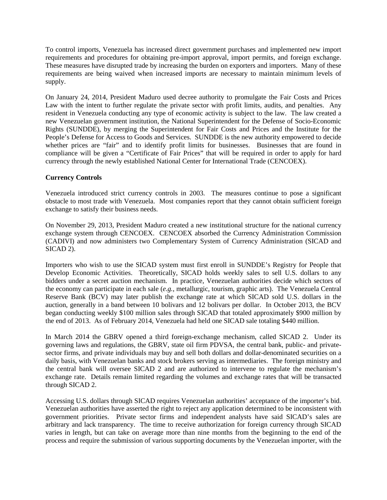To control imports, Venezuela has increased direct government purchases and implemented new import requirements and procedures for obtaining pre-import approval, import permits, and foreign exchange. These measures have disrupted trade by increasing the burden on exporters and importers. Many of these requirements are being waived when increased imports are necessary to maintain minimum levels of supply.

On January 24, 2014, President Maduro used decree authority to promulgate the Fair Costs and Prices Law with the intent to further regulate the private sector with profit limits, audits, and penalties. Any resident in Venezuela conducting any type of economic activity is subject to the law. The law created a new Venezuelan government institution, the National Superintendent for the Defense of Socio-Economic Rights (SUNDDE), by merging the Superintendent for Fair Costs and Prices and the Institute for the People's Defense for Access to Goods and Services. SUNDDE is the new authority empowered to decide whether prices are "fair" and to identify profit limits for businesses. Businesses that are found in compliance will be given a "Certificate of Fair Prices" that will be required in order to apply for hard currency through the newly established National Center for International Trade (CENCOEX).

# **Currency Controls**

Venezuela introduced strict currency controls in 2003. The measures continue to pose a significant obstacle to most trade with Venezuela. Most companies report that they cannot obtain sufficient foreign exchange to satisfy their business needs.

On November 29, 2013, President Maduro created a new institutional structure for the national currency exchange system through CENCOEX. CENCOEX absorbed the Currency Administration Commission (CADIVI) and now administers two Complementary System of Currency Administration (SICAD and SICAD 2).

Importers who wish to use the SICAD system must first enroll in SUNDDE's Registry for People that Develop Economic Activities. Theoretically, SICAD holds weekly sales to sell U.S. dollars to any bidders under a secret auction mechanism. In practice, Venezuelan authorities decide which sectors of the economy can participate in each sale (*e.g.*, metallurgic, tourism, graphic arts). The Venezuela Central Reserve Bank (BCV) may later publish the exchange rate at which SICAD sold U.S. dollars in the auction, generally in a band between 10 bolivars and 12 bolivars per dollar. In October 2013, the BCV began conducting weekly \$100 million sales through SICAD that totaled approximately \$900 million by the end of 2013. As of February 2014, Venezuela had held one SICAD sale totaling \$440 million.

In March 2014 the GBRV opened a third foreign-exchange mechanism, called SICAD 2. Under its governing laws and regulations, the GBRV, state oil firm PDVSA, the central bank, public- and privatesector firms, and private individuals may buy and sell both dollars and dollar-denominated securities on a daily basis, with Venezuelan banks and stock brokers serving as intermediaries. The foreign ministry and the central bank will oversee SICAD 2 and are authorized to intervene to regulate the mechanism's exchange rate. Details remain limited regarding the volumes and exchange rates that will be transacted through SICAD 2.

Accessing U.S. dollars through SICAD requires Venezuelan authorities' acceptance of the importer's bid. Venezuelan authorities have asserted the right to reject any application determined to be inconsistent with government priorities. Private sector firms and independent analysts have said SICAD's sales are arbitrary and lack transparency. The time to receive authorization for foreign currency through SICAD varies in length, but can take on average more than nine months from the beginning to the end of the process and require the submission of various supporting documents by the Venezuelan importer, with the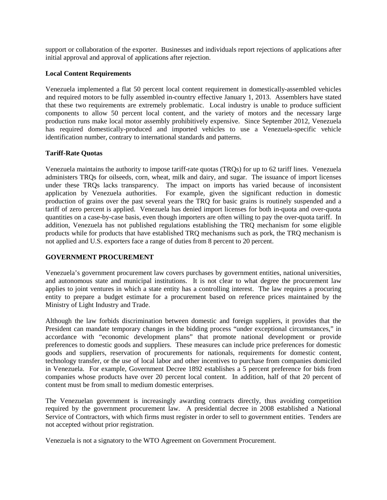support or collaboration of the exporter. Businesses and individuals report rejections of applications after initial approval and approval of applications after rejection.

# **Local Content Requirements**

Venezuela implemented a flat 50 percent local content requirement in domestically-assembled vehicles and required motors to be fully assembled in-country effective January 1, 2013. Assemblers have stated that these two requirements are extremely problematic. Local industry is unable to produce sufficient components to allow 50 percent local content, and the variety of motors and the necessary large production runs make local motor assembly prohibitively expensive. Since September 2012, Venezuela has required domestically-produced and imported vehicles to use a Venezuela-specific vehicle identification number, contrary to international standards and patterns.

# **Tariff-Rate Quotas**

Venezuela maintains the authority to impose tariff-rate quotas (TRQs) for up to 62 tariff lines. Venezuela administers TRQs for oilseeds, corn, wheat, milk and dairy, and sugar. The issuance of import licenses under these TRQs lacks transparency. The impact on imports has varied because of inconsistent application by Venezuela authorities. For example, given the significant reduction in domestic production of grains over the past several years the TRQ for basic grains is routinely suspended and a tariff of zero percent is applied. Venezuela has denied import licenses for both in-quota and over-quota quantities on a case-by-case basis, even though importers are often willing to pay the over-quota tariff. In addition, Venezuela has not published regulations establishing the TRQ mechanism for some eligible products while for products that have established TRQ mechanisms such as pork, the TRQ mechanism is not applied and U.S. exporters face a range of duties from 8 percent to 20 percent.

# **GOVERNMENT PROCUREMENT**

Venezuela's government procurement law covers purchases by government entities, national universities, and autonomous state and municipal institutions. It is not clear to what degree the procurement law applies to joint ventures in which a state entity has a controlling interest. The law requires a procuring entity to prepare a budget estimate for a procurement based on reference prices maintained by the Ministry of Light Industry and Trade.

Although the law forbids discrimination between domestic and foreign suppliers, it provides that the President can mandate temporary changes in the bidding process "under exceptional circumstances," in accordance with "economic development plans" that promote national development or provide preferences to domestic goods and suppliers. These measures can include price preferences for domestic goods and suppliers, reservation of procurements for nationals, requirements for domestic content, technology transfer, or the use of local labor and other incentives to purchase from companies domiciled in Venezuela. For example, Government Decree 1892 establishes a 5 percent preference for bids from companies whose products have over 20 percent local content. In addition, half of that 20 percent of content must be from small to medium domestic enterprises.

The Venezuelan government is increasingly awarding contracts directly, thus avoiding competition required by the government procurement law. A presidential decree in 2008 established a National Service of Contractors, with which firms must register in order to sell to government entities. Tenders are not accepted without prior registration.

Venezuela is not a signatory to the WTO Agreement on Government Procurement.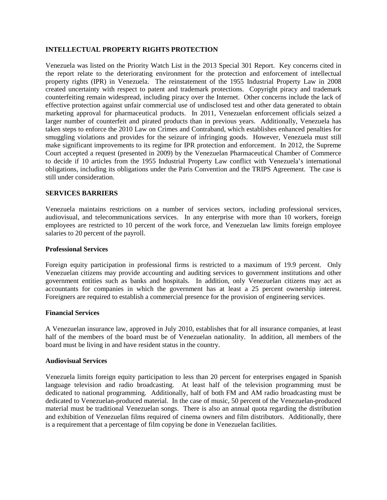## **INTELLECTUAL PROPERTY RIGHTS PROTECTION**

Venezuela was listed on the Priority Watch List in the 2013 Special 301 Report. Key concerns cited in the report relate to the deteriorating environment for the protection and enforcement of intellectual property rights (IPR) in Venezuela. The reinstatement of the 1955 Industrial Property Law in 2008 created uncertainty with respect to patent and trademark protections. Copyright piracy and trademark counterfeiting remain widespread, including piracy over the Internet. Other concerns include the lack of effective protection against unfair commercial use of undisclosed test and other data generated to obtain marketing approval for pharmaceutical products. In 2011, Venezuelan enforcement officials seized a larger number of counterfeit and pirated products than in previous years. Additionally, Venezuela has taken steps to enforce the 2010 Law on Crimes and Contraband, which establishes enhanced penalties for smuggling violations and provides for the seizure of infringing goods. However, Venezuela must still make significant improvements to its regime for IPR protection and enforcement. In 2012, the Supreme Court accepted a request (presented in 2009) by the Venezuelan Pharmaceutical Chamber of Commerce to decide if 10 articles from the 1955 Industrial Property Law conflict with Venezuela's international obligations, including its obligations under the Paris Convention and the TRIPS Agreement. The case is still under consideration.

## **SERVICES BARRIERS**

Venezuela maintains restrictions on a number of services sectors, including professional services, audiovisual, and telecommunications services. In any enterprise with more than 10 workers, foreign employees are restricted to 10 percent of the work force, and Venezuelan law limits foreign employee salaries to 20 percent of the payroll.

### **Professional Services**

Foreign equity participation in professional firms is restricted to a maximum of 19.9 percent. Only Venezuelan citizens may provide accounting and auditing services to government institutions and other government entities such as banks and hospitals. In addition, only Venezuelan citizens may act as accountants for companies in which the government has at least a 25 percent ownership interest. Foreigners are required to establish a commercial presence for the provision of engineering services.

## **Financial Services**

A Venezuelan insurance law, approved in July 2010, establishes that for all insurance companies, at least half of the members of the board must be of Venezuelan nationality. In addition, all members of the board must be living in and have resident status in the country.

## **Audiovisual Services**

Venezuela limits foreign equity participation to less than 20 percent for enterprises engaged in Spanish language television and radio broadcasting. At least half of the television programming must be dedicated to national programming. Additionally, half of both FM and AM radio broadcasting must be dedicated to Venezuelan-produced material. In the case of music, 50 percent of the Venezuelan-produced material must be traditional Venezuelan songs. There is also an annual quota regarding the distribution and exhibition of Venezuelan films required of cinema owners and film distributors. Additionally, there is a requirement that a percentage of film copying be done in Venezuelan facilities.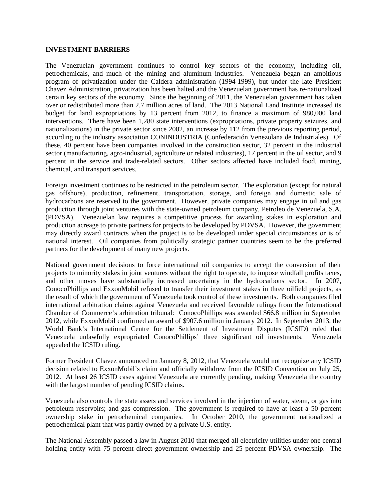### **INVESTMENT BARRIERS**

The Venezuelan government continues to control key sectors of the economy, including oil, petrochemicals, and much of the mining and aluminum industries. Venezuela began an ambitious program of privatization under the Caldera administration (1994-1999), but under the late President Chavez Administration, privatization has been halted and the Venezuelan government has re-nationalized certain key sectors of the economy. Since the beginning of 2011, the Venezuelan government has taken over or redistributed more than 2.7 million acres of land. The 2013 National Land Institute increased its budget for land expropriations by 13 percent from 2012, to finance a maximum of 980,000 land interventions. There have been 1,280 state interventions (expropriations, private property seizures, and nationalizations) in the private sector since 2002, an increase by 112 from the previous reporting period, according to the industry association CONINDUSTRIA (Confederación Venezolana de Industriales). Of these, 40 percent have been companies involved in the construction sector, 32 percent in the industrial sector (manufacturing, agro-industrial, agriculture or related industries), 17 percent in the oil sector, and 9 percent in the service and trade-related sectors. Other sectors affected have included food, mining, chemical, and transport services.

Foreign investment continues to be restricted in the petroleum sector. The exploration (except for natural gas offshore), production, refinement, transportation, storage, and foreign and domestic sale of hydrocarbons are reserved to the government. However, private companies may engage in oil and gas production through joint ventures with the state-owned petroleum company, Petroleo de Venezuela, S.A. (PDVSA). Venezuelan law requires a competitive process for awarding stakes in exploration and production acreage to private partners for projects to be developed by PDVSA. However, the government may directly award contracts when the project is to be developed under special circumstances or is of national interest. Oil companies from politically strategic partner countries seem to be the preferred partners for the development of many new projects.

National government decisions to force international oil companies to accept the conversion of their projects to minority stakes in joint ventures without the right to operate, to impose windfall profits taxes, and other moves have substantially increased uncertainty in the hydrocarbons sector. In 2007, ConocoPhillips and ExxonMobil refused to transfer their investment stakes in three oilfield projects, as the result of which the government of Venezuela took control of these investments. Both companies filed international arbitration claims against Venezuela and received favorable rulings from the International Chamber of Commerce's arbitration tribunal: ConocoPhillips was awarded \$66.8 million in September 2012, while ExxonMobil confirmed an award of \$907.6 million in January 2012. In September 2013, the World Bank's International Centre for the Settlement of Investment Disputes (ICSID) ruled that Venezuela unlawfully expropriated ConocoPhillips' three significant oil investments. Venezuela appealed the ICSID ruling.

Former President Chavez announced on January 8, 2012, that Venezuela would not recognize any ICSID decision related to ExxonMobil's claim and officially withdrew from the ICSID Convention on July 25, 2012. At least 26 ICSID cases against Venezuela are currently pending, making Venezuela the country with the largest number of pending ICSID claims.

Venezuela also controls the state assets and services involved in the injection of water, steam, or gas into petroleum reservoirs; and gas compression. The government is required to have at least a 50 percent ownership stake in petrochemical companies. In October 2010, the government nationalized a petrochemical plant that was partly owned by a private U.S. entity.

The National Assembly passed a law in August 2010 that merged all electricity utilities under one central holding entity with 75 percent direct government ownership and 25 percent PDVSA ownership. The